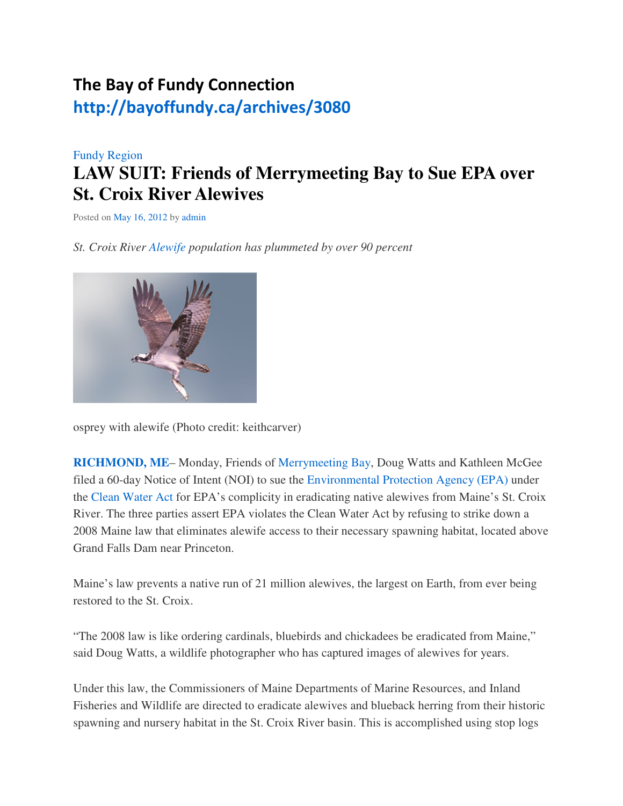## The Bay of Fundy Connection http://bayoffundy.ca/archives/3080

## Fundy Region **LAW SUIT: Friends of Merrymeeting Bay to Sue EPA over St. Croix River Alewives**

Posted on May 16, 2012 by admin

*St. Croix River Alewife population has plummeted by over 90 percent*



osprey with alewife (Photo credit: keithcarver)

**RICHMOND, ME**– Monday, Friends of Merrymeeting Bay, Doug Watts and Kathleen McGee filed a 60-day Notice of Intent (NOI) to sue the Environmental Protection Agency (EPA) under the Clean Water Act for EPA's complicity in eradicating native alewives from Maine's St. Croix River. The three parties assert EPA violates the Clean Water Act by refusing to strike down a 2008 Maine law that eliminates alewife access to their necessary spawning habitat, located above Grand Falls Dam near Princeton.

Maine's law prevents a native run of 21 million alewives, the largest on Earth, from ever being restored to the St. Croix.

"The 2008 law is like ordering cardinals, bluebirds and chickadees be eradicated from Maine," said Doug Watts, a wildlife photographer who has captured images of alewives for years.

Under this law, the Commissioners of Maine Departments of Marine Resources, and Inland Fisheries and Wildlife are directed to eradicate alewives and blueback herring from their historic spawning and nursery habitat in the St. Croix River basin. This is accomplished using stop logs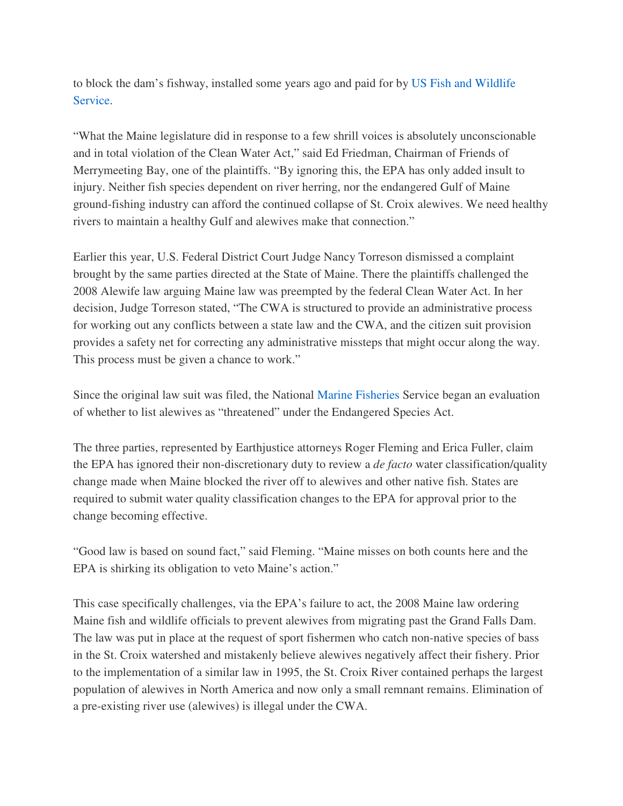to block the dam's fishway, installed some years ago and paid for by US Fish and Wildlife Service.

"What the Maine legislature did in response to a few shrill voices is absolutely unconscionable and in total violation of the Clean Water Act," said Ed Friedman, Chairman of Friends of Merrymeeting Bay, one of the plaintiffs. "By ignoring this, the EPA has only added insult to injury. Neither fish species dependent on river herring, nor the endangered Gulf of Maine ground-fishing industry can afford the continued collapse of St. Croix alewives. We need healthy rivers to maintain a healthy Gulf and alewives make that connection."

Earlier this year, U.S. Federal District Court Judge Nancy Torreson dismissed a complaint brought by the same parties directed at the State of Maine. There the plaintiffs challenged the 2008 Alewife law arguing Maine law was preempted by the federal Clean Water Act. In her decision, Judge Torreson stated, "The CWA is structured to provide an administrative process for working out any conflicts between a state law and the CWA, and the citizen suit provision provides a safety net for correcting any administrative missteps that might occur along the way. This process must be given a chance to work."

Since the original law suit was filed, the National Marine Fisheries Service began an evaluation of whether to list alewives as "threatened" under the Endangered Species Act.

The three parties, represented by Earthjustice attorneys Roger Fleming and Erica Fuller, claim the EPA has ignored their non-discretionary duty to review a *de facto* water classification/quality change made when Maine blocked the river off to alewives and other native fish. States are required to submit water quality classification changes to the EPA for approval prior to the change becoming effective.

"Good law is based on sound fact," said Fleming. "Maine misses on both counts here and the EPA is shirking its obligation to veto Maine's action."

This case specifically challenges, via the EPA's failure to act, the 2008 Maine law ordering Maine fish and wildlife officials to prevent alewives from migrating past the Grand Falls Dam. The law was put in place at the request of sport fishermen who catch non-native species of bass in the St. Croix watershed and mistakenly believe alewives negatively affect their fishery. Prior to the implementation of a similar law in 1995, the St. Croix River contained perhaps the largest population of alewives in North America and now only a small remnant remains. Elimination of a pre-existing river use (alewives) is illegal under the CWA.